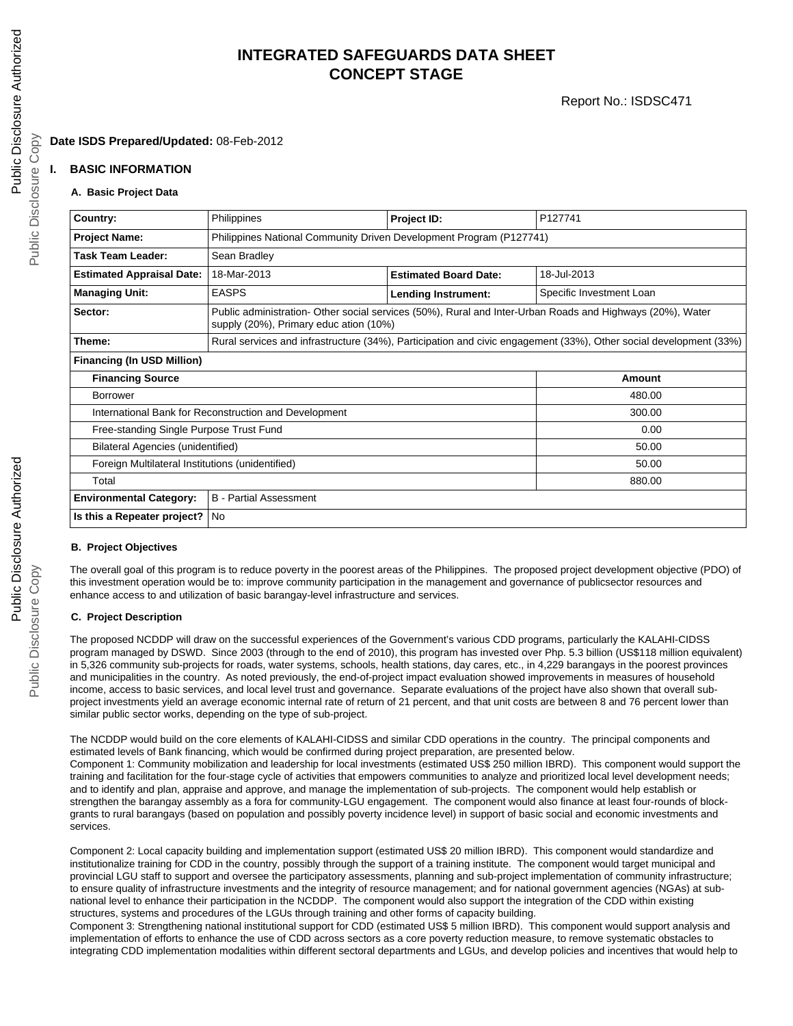# **INTEGRATED SAFEGUARDS DATA SHEET CONCEPT STAGE**

# **Date ISDS Prepared/Updated:** 08-Feb-2012

## **I. BASIC INFORMATION**

### **A. Basic Project Data**

| Country:                                              | Philippines                                                                                                                                         | Project ID:                  | P127741                  |  |  |
|-------------------------------------------------------|-----------------------------------------------------------------------------------------------------------------------------------------------------|------------------------------|--------------------------|--|--|
| <b>Project Name:</b>                                  | Philippines National Community Driven Development Program (P127741)                                                                                 |                              |                          |  |  |
|                                                       |                                                                                                                                                     |                              |                          |  |  |
| Task Team Leader:                                     | Sean Bradley                                                                                                                                        |                              |                          |  |  |
| <b>Estimated Appraisal Date:</b>                      | 18-Mar-2013                                                                                                                                         | <b>Estimated Board Date:</b> | 18-Jul-2013              |  |  |
| <b>Managing Unit:</b>                                 | <b>EASPS</b>                                                                                                                                        | <b>Lending Instrument:</b>   | Specific Investment Loan |  |  |
| Sector:                                               | Public administration- Other social services (50%), Rural and Inter-Urban Roads and Highways (20%), Water<br>supply (20%), Primary educ ation (10%) |                              |                          |  |  |
| Theme:                                                | Rural services and infrastructure (34%), Participation and civic engagement (33%), Other social development (33%)                                   |                              |                          |  |  |
| <b>Financing (In USD Million)</b>                     |                                                                                                                                                     |                              |                          |  |  |
| <b>Financing Source</b>                               |                                                                                                                                                     | Amount                       |                          |  |  |
| <b>Borrower</b>                                       |                                                                                                                                                     |                              | 480.00                   |  |  |
| International Bank for Reconstruction and Development |                                                                                                                                                     |                              | 300.00                   |  |  |
| Free-standing Single Purpose Trust Fund               |                                                                                                                                                     |                              | 0.00                     |  |  |
| <b>Bilateral Agencies (unidentified)</b>              |                                                                                                                                                     |                              | 50.00                    |  |  |
| Foreign Multilateral Institutions (unidentified)      |                                                                                                                                                     |                              | 50.00                    |  |  |
| Total                                                 |                                                                                                                                                     |                              | 880.00                   |  |  |
| <b>Environmental Category:</b>                        | <b>B</b> - Partial Assessment                                                                                                                       |                              |                          |  |  |
| Is this a Repeater project?<br>No                     |                                                                                                                                                     |                              |                          |  |  |

### **B. Project Objectives**

The overall goal of this program is to reduce poverty in the poorest areas of the Philippines. The proposed project development objective (PDO) of this investment operation would be to: improve community participation in the management and governance of publicsector resources and enhance access to and utilization of basic barangay-level infrastructure and services.

### **C. Project Description**

The proposed NCDDP will draw on the successful experiences of the Government's various CDD programs, particularly the KALAHI-CIDSS program managed by DSWD. Since 2003 (through to the end of 2010), this program has invested over Php. 5.3 billion (US\$118 million equivalent) in 5,326 community sub-projects for roads, water systems, schools, health stations, day cares, etc., in 4,229 barangays in the poorest provinces and municipalities in the country. As noted previously, the end-of-project impact evaluation showed improvements in measures of household income, access to basic services, and local level trust and governance. Separate evaluations of the project have also shown that overall subproject investments yield an average economic internal rate of return of 21 percent, and that unit costs are between 8 and 76 percent lower than similar public sector works, depending on the type of sub-project.

The NCDDP would build on the core elements of KALAHI-CIDSS and similar CDD operations in the country. The principal components and estimated levels of Bank financing, which would be confirmed during project preparation, are presented below. Component 1: Community mobilization and leadership for local investments (estimated US\$ 250 million IBRD). This component would support the training and facilitation for the four-stage cycle of activities that empowers communities to analyze and prioritized local level development needs; and to identify and plan, appraise and approve, and manage the implementation of sub-projects. The component would help establish or strengthen the barangay assembly as a fora for community-LGU engagement. The component would also finance at least four-rounds of blockgrants to rural barangays (based on population and possibly poverty incidence level) in support of basic social and economic investments and services.

Component 2: Local capacity building and implementation support (estimated US\$ 20 million IBRD). This component would standardize and institutionalize training for CDD in the country, possibly through the support of a training institute. The component would target municipal and provincial LGU staff to support and oversee the participatory assessments, planning and sub-project implementation of community infrastructure; to ensure quality of infrastructure investments and the integrity of resource management; and for national government agencies (NGAs) at subnational level to enhance their participation in the NCDDP. The component would also support the integration of the CDD within existing structures, systems and procedures of the LGUs through training and other forms of capacity building.

Component 3: Strengthening national institutional support for CDD (estimated US\$ 5 million IBRD). This component would support analysis and implementation of efforts to enhance the use of CDD across sectors as a core poverty reduction measure, to remove systematic obstacles to integrating CDD implementation modalities within different sectoral departments and LGUs, and develop policies and incentives that would help to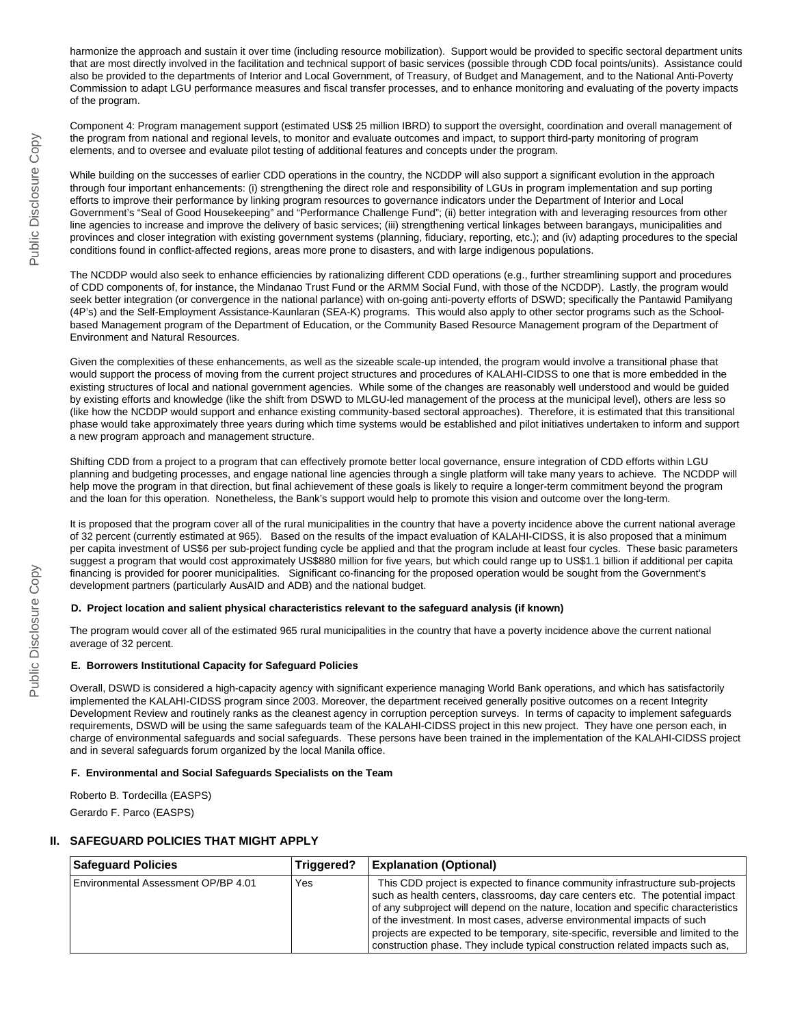harmonize the approach and sustain it over time (including resource mobilization). Support would be provided to specific sectoral department units that are most directly involved in the facilitation and technical support of basic services (possible through CDD focal points/units). Assistance could also be provided to the departments of Interior and Local Government, of Treasury, of Budget and Management, and to the National Anti-Poverty Commission to adapt LGU performance measures and fiscal transfer processes, and to enhance monitoring and evaluating of the poverty impacts of the program.

Component 4: Program management support (estimated US\$ 25 million IBRD) to support the oversight, coordination and overall management of the program from national and regional levels, to monitor and evaluate outcomes and impact, to support third-party monitoring of program elements, and to oversee and evaluate pilot testing of additional features and concepts under the program.

While building on the successes of earlier CDD operations in the country, the NCDDP will also support a significant evolution in the approach through four important enhancements: (i) strengthening the direct role and responsibility of LGUs in program implementation and sup porting efforts to improve their performance by linking program resources to governance indicators under the Department of Interior and Local Government's "Seal of Good Housekeeping" and "Performance Challenge Fund"; (ii) better integration with and leveraging resources from other line agencies to increase and improve the delivery of basic services; (iii) strengthening vertical linkages between barangays, municipalities and provinces and closer integration with existing government systems (planning, fiduciary, reporting, etc.); and (iv) adapting procedures to the special conditions found in conflict-affected regions, areas more prone to disasters, and with large indigenous populations.

The NCDDP would also seek to enhance efficiencies by rationalizing different CDD operations (e.g., further streamlining support and procedures of CDD components of, for instance, the Mindanao Trust Fund or the ARMM Social Fund, with those of the NCDDP). Lastly, the program would seek better integration (or convergence in the national parlance) with on-going anti-poverty efforts of DSWD; specifically the Pantawid Pamilyang (4P's) and the Self-Employment Assistance-Kaunlaran (SEA-K) programs. This would also apply to other sector programs such as the Schoolbased Management program of the Department of Education, or the Community Based Resource Management program of the Department of Environment and Natural Resources.

Given the complexities of these enhancements, as well as the sizeable scale-up intended, the program would involve a transitional phase that would support the process of moving from the current project structures and procedures of KALAHI-CIDSS to one that is more embedded in the existing structures of local and national government agencies. While some of the changes are reasonably well understood and would be guided by existing efforts and knowledge (like the shift from DSWD to MLGU-led management of the process at the municipal level), others are less so (like how the NCDDP would support and enhance existing community-based sectoral approaches). Therefore, it is estimated that this transitional phase would take approximately three years during which time systems would be established and pilot initiatives undertaken to inform and support a new program approach and management structure.

Shifting CDD from a project to a program that can effectively promote better local governance, ensure integration of CDD efforts within LGU planning and budgeting processes, and engage national line agencies through a single platform will take many years to achieve. The NCDDP will help move the program in that direction, but final achievement of these goals is likely to require a longer-term commitment beyond the program and the loan for this operation. Nonetheless, the Bank's support would help to promote this vision and outcome over the long-term.

It is proposed that the program cover all of the rural municipalities in the country that have a poverty incidence above the current national average of 32 percent (currently estimated at 965). Based on the results of the impact evaluation of KALAHI-CIDSS, it is also proposed that a minimum per capita investment of US\$6 per sub-project funding cycle be applied and that the program include at least four cycles. These basic parameters suggest a program that would cost approximately US\$880 million for five years, but which could range up to US\$1.1 billion if additional per capita financing is provided for poorer municipalities. Significant co-financing for the proposed operation would be sought from the Government's development partners (particularly AusAID and ADB) and the national budget.

#### **D. Project location and salient physical characteristics relevant to the safeguard analysis (if known)**

The program would cover all of the estimated 965 rural municipalities in the country that have a poverty incidence above the current national average of 32 percent.

#### **E. Borrowers Institutional Capacity for Safeguard Policies**

Overall, DSWD is considered a high-capacity agency with significant experience managing World Bank operations, and which has satisfactorily implemented the KALAHI-CIDSS program since 2003. Moreover, the department received generally positive outcomes on a recent Integrity Development Review and routinely ranks as the cleanest agency in corruption perception surveys. In terms of capacity to implement safeguards requirements, DSWD will be using the same safeguards team of the KALAHI-CIDSS project in this new project. They have one person each, in charge of environmental safeguards and social safeguards. These persons have been trained in the implementation of the KALAHI-CIDSS project and in several safeguards forum organized by the local Manila office.

#### **F. Environmental and Social Safeguards Specialists on the Team**

Roberto B. Tordecilla (EASPS) Gerardo F. Parco (EASPS)

#### **II. SAFEGUARD POLICIES THAT MIGHT APPLY**

| <b>Safequard Policies</b>           | Triggered? | <b>Explanation (Optional)</b>                                                                                                                                                                                                                                                                                                                                                                                                                                                                             |
|-------------------------------------|------------|-----------------------------------------------------------------------------------------------------------------------------------------------------------------------------------------------------------------------------------------------------------------------------------------------------------------------------------------------------------------------------------------------------------------------------------------------------------------------------------------------------------|
| Environmental Assessment OP/BP 4.01 | Yes        | This CDD project is expected to finance community infrastructure sub-projects<br>such as health centers, classrooms, day care centers etc. The potential impact<br>of any subproject will depend on the nature, location and specific characteristics<br>of the investment. In most cases, adverse environmental impacts of such<br>projects are expected to be temporary, site-specific, reversible and limited to the<br>construction phase. They include typical construction related impacts such as, |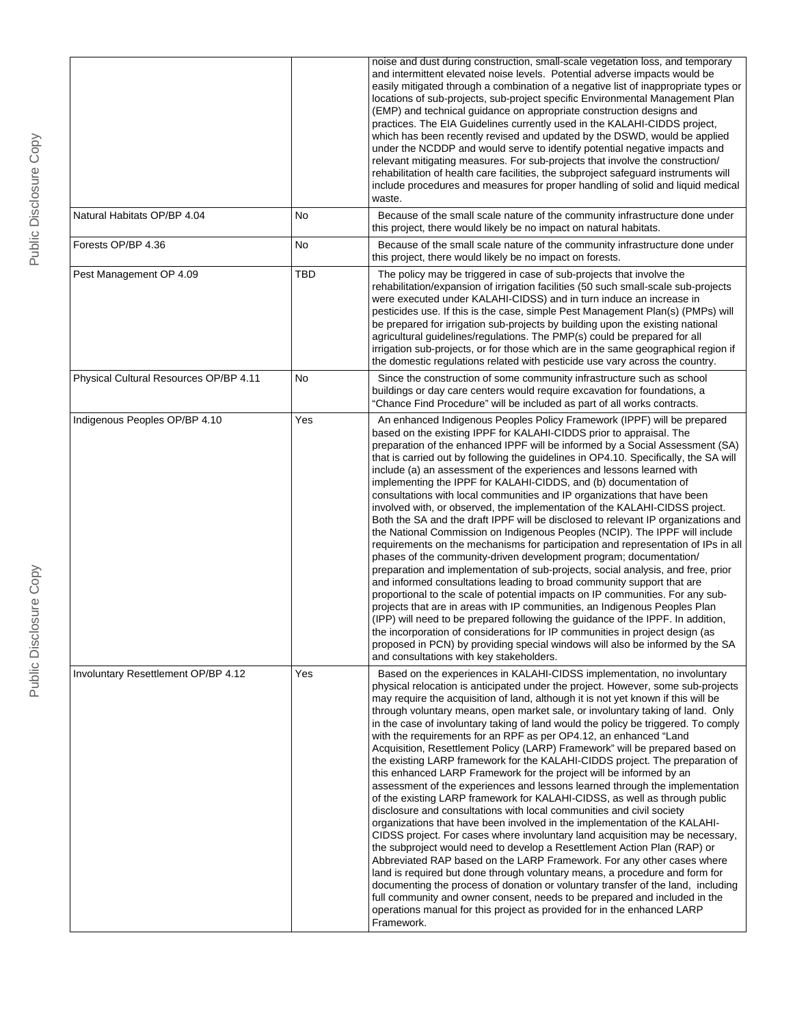|                                        |     | noise and dust during construction, small-scale vegetation loss, and temporary<br>and intermittent elevated noise levels. Potential adverse impacts would be<br>easily mitigated through a combination of a negative list of inappropriate types or<br>locations of sub-projects, sub-project specific Environmental Management Plan<br>(EMP) and technical guidance on appropriate construction designs and<br>practices. The EIA Guidelines currently used in the KALAHI-CIDDS project,<br>which has been recently revised and updated by the DSWD, would be applied<br>under the NCDDP and would serve to identify potential negative impacts and<br>relevant mitigating measures. For sub-projects that involve the construction/<br>rehabilitation of health care facilities, the subproject safeguard instruments will<br>include procedures and measures for proper handling of solid and liquid medical<br>waste.                                                                                                                                                                                                                                                                                                                                                                                                                                                                                                                                                                                                                                                                                                                  |
|----------------------------------------|-----|--------------------------------------------------------------------------------------------------------------------------------------------------------------------------------------------------------------------------------------------------------------------------------------------------------------------------------------------------------------------------------------------------------------------------------------------------------------------------------------------------------------------------------------------------------------------------------------------------------------------------------------------------------------------------------------------------------------------------------------------------------------------------------------------------------------------------------------------------------------------------------------------------------------------------------------------------------------------------------------------------------------------------------------------------------------------------------------------------------------------------------------------------------------------------------------------------------------------------------------------------------------------------------------------------------------------------------------------------------------------------------------------------------------------------------------------------------------------------------------------------------------------------------------------------------------------------------------------------------------------------------------------|
| Natural Habitats OP/BP 4.04            | No  | Because of the small scale nature of the community infrastructure done under<br>this project, there would likely be no impact on natural habitats.                                                                                                                                                                                                                                                                                                                                                                                                                                                                                                                                                                                                                                                                                                                                                                                                                                                                                                                                                                                                                                                                                                                                                                                                                                                                                                                                                                                                                                                                                         |
| Forests OP/BP 4.36                     | No  | Because of the small scale nature of the community infrastructure done under<br>this project, there would likely be no impact on forests.                                                                                                                                                                                                                                                                                                                                                                                                                                                                                                                                                                                                                                                                                                                                                                                                                                                                                                                                                                                                                                                                                                                                                                                                                                                                                                                                                                                                                                                                                                  |
| Pest Management OP 4.09                | TBD | The policy may be triggered in case of sub-projects that involve the<br>rehabilitation/expansion of irrigation facilities (50 such small-scale sub-projects<br>were executed under KALAHI-CIDSS) and in turn induce an increase in<br>pesticides use. If this is the case, simple Pest Management Plan(s) (PMPs) will<br>be prepared for irrigation sub-projects by building upon the existing national<br>agricultural guidelines/regulations. The PMP(s) could be prepared for all<br>irrigation sub-projects, or for those which are in the same geographical region if<br>the domestic regulations related with pesticide use vary across the country.                                                                                                                                                                                                                                                                                                                                                                                                                                                                                                                                                                                                                                                                                                                                                                                                                                                                                                                                                                                 |
| Physical Cultural Resources OP/BP 4.11 | No  | Since the construction of some community infrastructure such as school<br>buildings or day care centers would require excavation for foundations, a<br>"Chance Find Procedure" will be included as part of all works contracts.                                                                                                                                                                                                                                                                                                                                                                                                                                                                                                                                                                                                                                                                                                                                                                                                                                                                                                                                                                                                                                                                                                                                                                                                                                                                                                                                                                                                            |
| Indigenous Peoples OP/BP 4.10          | Yes | An enhanced Indigenous Peoples Policy Framework (IPPF) will be prepared<br>based on the existing IPPF for KALAHI-CIDDS prior to appraisal. The<br>preparation of the enhanced IPPF will be informed by a Social Assessment (SA)<br>that is carried out by following the guidelines in OP4.10. Specifically, the SA will<br>include (a) an assessment of the experiences and lessons learned with<br>implementing the IPPF for KALAHI-CIDDS, and (b) documentation of<br>consultations with local communities and IP organizations that have been<br>involved with, or observed, the implementation of the KALAHI-CIDSS project.<br>Both the SA and the draft IPPF will be disclosed to relevant IP organizations and<br>the National Commission on Indigenous Peoples (NCIP). The IPPF will include<br>requirements on the mechanisms for participation and representation of IPs in all<br>phases of the community-driven development program; documentation/<br>preparation and implementation of sub-projects, social analysis, and free, prior<br>and informed consultations leading to broad community support that are<br>proportional to the scale of potential impacts on IP communities. For any sub-<br>projects that are in areas with IP communities, an Indigenous Peoples Plan<br>(IPP) will need to be prepared following the guidance of the IPPF. In addition,<br>the incorporation of considerations for IP communities in project design (as<br>proposed in PCN) by providing special windows will also be informed by the SA<br>and consultations with key stakeholders.                                               |
| Involuntary Resettlement OP/BP 4.12    | Yes | Based on the experiences in KALAHI-CIDSS implementation, no involuntary<br>physical relocation is anticipated under the project. However, some sub-projects<br>may require the acquisition of land, although it is not yet known if this will be<br>through voluntary means, open market sale, or involuntary taking of land. Only<br>in the case of involuntary taking of land would the policy be triggered. To comply<br>with the requirements for an RPF as per OP4.12, an enhanced "Land<br>Acquisition, Resettlement Policy (LARP) Framework" will be prepared based on<br>the existing LARP framework for the KALAHI-CIDDS project. The preparation of<br>this enhanced LARP Framework for the project will be informed by an<br>assessment of the experiences and lessons learned through the implementation<br>of the existing LARP framework for KALAHI-CIDSS, as well as through public<br>disclosure and consultations with local communities and civil society<br>organizations that have been involved in the implementation of the KALAHI-<br>CIDSS project. For cases where involuntary land acquisition may be necessary,<br>the subproject would need to develop a Resettlement Action Plan (RAP) or<br>Abbreviated RAP based on the LARP Framework. For any other cases where<br>land is required but done through voluntary means, a procedure and form for<br>documenting the process of donation or voluntary transfer of the land, including<br>full community and owner consent, needs to be prepared and included in the<br>operations manual for this project as provided for in the enhanced LARP<br>Framework. |